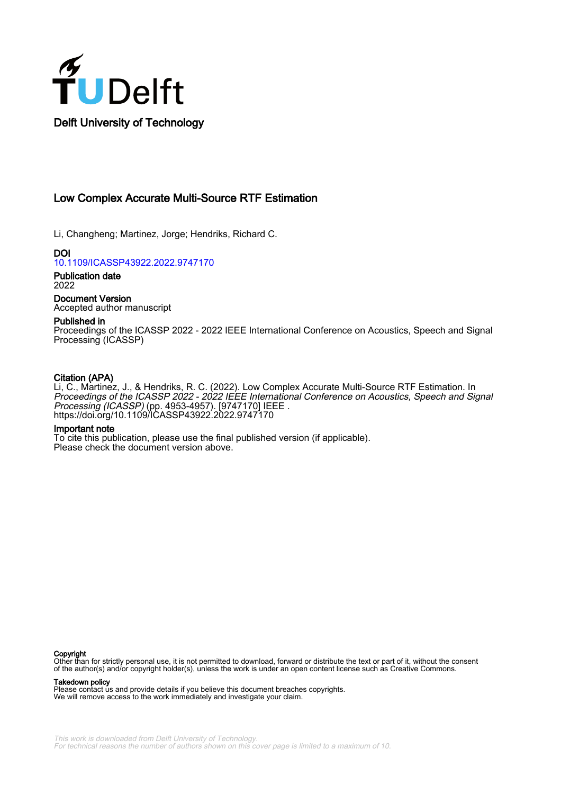

# Low Complex Accurate Multi-Source RTF Estimation

Li, Changheng; Martinez, Jorge; Hendriks, Richard C.

DOI [10.1109/ICASSP43922.2022.9747170](https://doi.org/10.1109/ICASSP43922.2022.9747170)

Publication date 2022

Document Version Accepted author manuscript

# Published in

Proceedings of the ICASSP 2022 - 2022 IEEE International Conference on Acoustics, Speech and Signal Processing (ICASSP)

# Citation (APA)

Li, C., Martinez, J., & Hendriks, R. C. (2022). Low Complex Accurate Multi-Source RTF Estimation. In Proceedings of the ICASSP 2022 - 2022 IEEE International Conference on Acoustics, Speech and Signal Processing (ICASSP) (pp. 4953-4957). [9747170] IEEE . <https://doi.org/10.1109/ICASSP43922.2022.9747170>

# Important note

To cite this publication, please use the final published version (if applicable). Please check the document version above.

#### **Copyright**

Other than for strictly personal use, it is not permitted to download, forward or distribute the text or part of it, without the consent of the author(s) and/or copyright holder(s), unless the work is under an open content license such as Creative Commons.

### Takedown policy

Please contact us and provide details if you believe this document breaches copyrights. We will remove access to the work immediately and investigate your claim.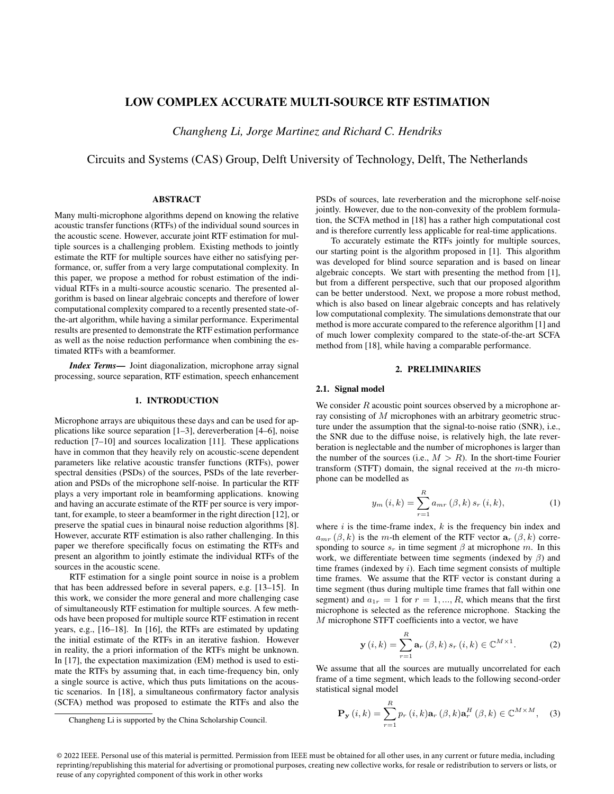# LOW COMPLEX ACCURATE MULTI-SOURCE RTF ESTIMATION

*Changheng Li, Jorge Martinez and Richard C. Hendriks*

Circuits and Systems (CAS) Group, Delft University of Technology, Delft, The Netherlands

## ABSTRACT

Many multi-microphone algorithms depend on knowing the relative acoustic transfer functions (RTFs) of the individual sound sources in the acoustic scene. However, accurate joint RTF estimation for multiple sources is a challenging problem. Existing methods to jointly estimate the RTF for multiple sources have either no satisfying performance, or, suffer from a very large computational complexity. In this paper, we propose a method for robust estimation of the individual RTFs in a multi-source acoustic scenario. The presented algorithm is based on linear algebraic concepts and therefore of lower computational complexity compared to a recently presented state-ofthe-art algorithm, while having a similar performance. Experimental results are presented to demonstrate the RTF estimation performance as well as the noise reduction performance when combining the estimated RTFs with a beamformer.

*Index Terms*— Joint diagonalization, microphone array signal processing, source separation, RTF estimation, speech enhancement

### 1. INTRODUCTION

Microphone arrays are ubiquitous these days and can be used for applications like source separation [\[1–](#page-5-0)[3\]](#page-5-1), dereverberation [\[4–](#page-5-2)[6\]](#page-5-3), noise reduction [\[7–](#page-5-4)[10\]](#page-5-5) and sources localization [\[11\]](#page-5-6). These applications have in common that they heavily rely on acoustic-scene dependent parameters like relative acoustic transfer functions (RTFs), power spectral densities (PSDs) of the sources, PSDs of the late reverberation and PSDs of the microphone self-noise. In particular the RTF plays a very important role in beamforming applications. knowing and having an accurate estimate of the RTF per source is very important, for example, to steer a beamformer in the right direction [\[12\]](#page-5-7), or preserve the spatial cues in binaural noise reduction algorithms [\[8\]](#page-5-8). However, accurate RTF estimation is also rather challenging. In this paper we therefore specifically focus on estimating the RTFs and present an algorithm to jointly estimate the individual RTFs of the sources in the acoustic scene.

RTF estimation for a single point source in noise is a problem that has been addressed before in several papers, e.g. [\[13](#page-5-9)[–15\]](#page-5-10). In this work, we consider the more general and more challenging case of simultaneously RTF estimation for multiple sources. A few methods have been proposed for multiple source RTF estimation in recent years, e.g., [\[16–](#page-5-11)[18\]](#page-5-12). In [\[16\]](#page-5-11), the RTFs are estimated by updating the initial estimate of the RTFs in an iterative fashion. However in reality, the a priori information of the RTFs might be unknown. In [\[17\]](#page-5-13), the expectation maximization (EM) method is used to estimate the RTFs by assuming that, in each time-frequency bin, only a single source is active, which thus puts limitations on the acoustic scenarios. In [\[18\]](#page-5-12), a simultaneous confirmatory factor analysis (SCFA) method was proposed to estimate the RTFs and also the

PSDs of sources, late reverberation and the microphone self-noise jointly. However, due to the non-convexity of the problem formulation, the SCFA method in [\[18\]](#page-5-12) has a rather high computational cost and is therefore currently less applicable for real-time applications.

To accurately estimate the RTFs jointly for multiple sources, our starting point is the algorithm proposed in [\[1\]](#page-5-0). This algorithm was developed for blind source separation and is based on linear algebraic concepts. We start with presenting the method from [\[1\]](#page-5-0), but from a different perspective, such that our proposed algorithm can be better understood. Next, we propose a more robust method, which is also based on linear algebraic concepts and has relatively low computational complexity. The simulations demonstrate that our method is more accurate compared to the reference algorithm [\[1\]](#page-5-0) and of much lower complexity compared to the state-of-the-art SCFA method from [\[18\]](#page-5-12), while having a comparable performance.

### 2. PRELIMINARIES

### 2.1. Signal model

We consider  $R$  acoustic point sources observed by a microphone array consisting of M microphones with an arbitrary geometric structure under the assumption that the signal-to-noise ratio (SNR), i.e., the SNR due to the diffuse noise, is relatively high, the late reverberation is neglectable and the number of microphones is larger than the number of the sources (i.e.,  $M > R$ ). In the short-time Fourier transform (STFT) domain, the signal received at the  $m$ -th microphone can be modelled as

$$
y_m(i,k) = \sum_{r=1}^{R} a_{mr}(\beta, k) s_r(i,k),
$$
 (1)

where  $i$  is the time-frame index,  $k$  is the frequency bin index and  $a_{mr}(\beta, k)$  is the m-th element of the RTF vector  $a_r(\beta, k)$  corresponding to source  $s_r$  in time segment  $\beta$  at microphone m. In this work, we differentiate between time segments (indexed by  $\beta$ ) and time frames (indexed by  $i$ ). Each time segment consists of multiple time frames. We assume that the RTF vector is constant during a time segment (thus during multiple time frames that fall within one segment) and  $a_{1r} = 1$  for  $r = 1, ..., R$ , which means that the first microphone is selected as the reference microphone. Stacking the M microphone STFT coefficients into a vector, we have

$$
\mathbf{y}\left(i,k\right) = \sum_{r=1}^{R} \mathbf{a}_r\left(\beta,k\right) s_r\left(i,k\right) \in \mathbb{C}^{M \times 1}.
$$
 (2)

We assume that all the sources are mutually uncorrelated for each frame of a time segment, which leads to the following second-order statistical signal model

$$
\mathbf{P}_{\mathbf{y}}\left(i,k\right) = \sum_{r=1}^{R} p_r\left(i,k\right) \mathbf{a}_r\left(\beta,k\right) \mathbf{a}_r^H\left(\beta,k\right) \in \mathbb{C}^{M \times M},\tag{3}
$$

Changheng Li is supported by the China Scholarship Council.

<sup>© 2022</sup> IEEE. Personal use of this material is permitted. Permission from IEEE must be obtained for all other uses, in any current or future media, including reprinting/republishing this material for advertising or promotional purposes, creating new collective works, for resale or redistribution to servers or lists, or reuse of any copyrighted component of this work in other works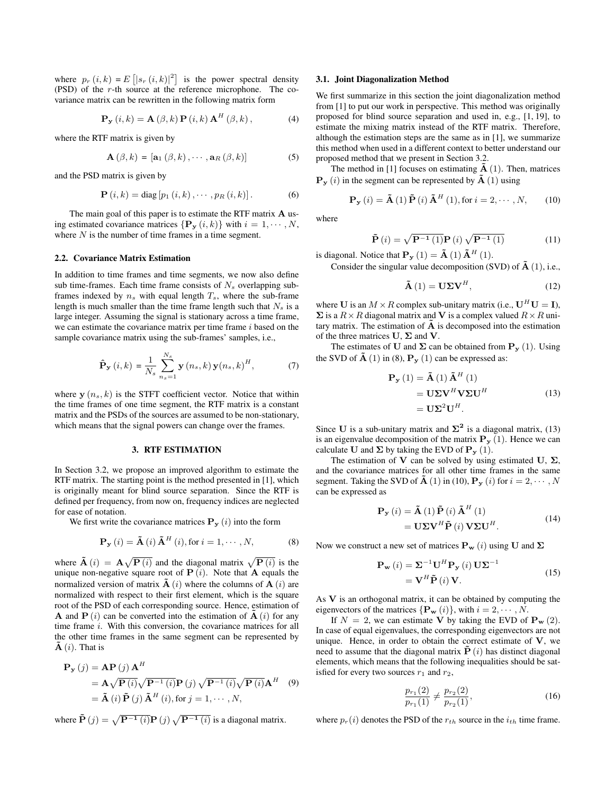where  $p_r(i,k) = E[|s_r(i,k)|^2]$  is the power spectral density (PSD) of the r-th source at the reference microphone. The covariance matrix can be rewritten in the following matrix form

$$
\mathbf{P}_{\mathbf{y}}\left(i,k\right) = \mathbf{A}\left(\beta,k\right)\mathbf{P}\left(i,k\right)\mathbf{A}^{H}\left(\beta,k\right),\tag{4}
$$

where the RTF matrix is given by

$$
\mathbf{A}\left(\beta,k\right) = \left[\mathbf{a}_{1}\left(\beta,k\right),\cdots,\mathbf{a}_{R}\left(\beta,k\right)\right] \tag{5}
$$

and the PSD matrix is given by

$$
\mathbf{P}(i,k) = \text{diag}[p_1(i,k), \cdots, p_R(i,k)].
$$
 (6)

The main goal of this paper is to estimate the RTF matrix **A** using estimated covariance matrices  $\{P_{y}(i,k)\}\$  with  $i=1,\cdots,N$ , where  $N$  is the number of time frames in a time segment.

#### 2.2. Covariance Matrix Estimation

In addition to time frames and time segments, we now also define sub time-frames. Each time frame consists of  $N_s$  overlapping subframes indexed by  $n_s$  with equal length  $T_s$ , where the sub-frame length is much smaller than the time frame length such that  $N_s$  is a large integer. Assuming the signal is stationary across a time frame, we can estimate the covariance matrix per time frame  $i$  based on the sample covariance matrix using the sub-frames' samples, i.e.,

$$
\hat{\mathbf{P}}_{\mathbf{y}}\left(i,k\right) = \frac{1}{N_s} \sum_{n_s=1}^{N_s} \mathbf{y}\left(n_s,k\right) \mathbf{y}\left(n_s,k\right)^H, \tag{7}
$$

where  $y(n_s, k)$  is the STFT coefficient vector. Notice that within the time frames of one time segment, the RTF matrix is a constant matrix and the PSDs of the sources are assumed to be non-stationary, which means that the signal powers can change over the frames.

#### 3. RTF ESTIMATION

In [Section 3.2,](#page-3-0) we propose an improved algorithm to estimate the RTF matrix. The starting point is the method presented in [\[1\]](#page-5-0), which is originally meant for blind source separation. Since the RTF is defined per frequency, from now on, frequency indices are neglected for ease of notation.

We first write the covariance matrices  $P_y(i)$  into the form

<span id="page-2-0"></span>
$$
\mathbf{P}_{\mathbf{y}}\left(i\right) = \tilde{\mathbf{A}}\left(i\right) \tilde{\mathbf{A}}^{H}\left(i\right), \text{for } i = 1, \cdots, N,
$$
 (8)

where  $\mathbf{\tilde{A}}(i) = \mathbf{A}\sqrt{\mathbf{P}(i)}$  and the diagonal matrix  $\sqrt{\mathbf{P}(i)}$  is the unique non-negative square root of  $P(i)$ . Note that A equals the normalized version of matrix  $\tilde{A}(i)$  where the columns of  $A(i)$  are normalized with respect to their first element, which is the square root of the PSD of each corresponding source. Hence, estimation of **A** and **P** (i) can be converted into the estimation of  $\mathbf{A}(i)$  for any time frame i. With this conversion, the covariance matrices for all the other time frames in the same segment can be represented by  $\mathbf{A}(i)$ . That is

$$
\mathbf{P}_{\mathbf{y}}(j) = \mathbf{A}\mathbf{P}(j)\mathbf{A}^{H}
$$
  
=  $\mathbf{A}\sqrt{\mathbf{P}(i)}\sqrt{\mathbf{P}^{-1}(i)}\mathbf{P}(j)\sqrt{\mathbf{P}^{-1}(i)}\sqrt{\mathbf{P}(i)}\mathbf{A}^{H}$  (9)  
=  $\tilde{\mathbf{A}}(i)\tilde{\mathbf{P}}(j)\tilde{\mathbf{A}}^{H}(i)$ , for  $j = 1, \dots, N$ ,

where  $\tilde{\mathbf{P}}(j) = \sqrt{\mathbf{P}^{-1}(i)} \mathbf{P}(j) \sqrt{\mathbf{P}^{-1}(i)}$  is a diagonal matrix.

#### <span id="page-2-5"></span>3.1. Joint Diagonalization Method

We first summarize in this section the joint diagonalization method from [\[1\]](#page-5-0) to put our work in perspective. This method was originally proposed for blind source separation and used in, e.g., [\[1,](#page-5-0) [19\]](#page-5-14), to estimate the mixing matrix instead of the RTF matrix. Therefore, although the estimation steps are the same as in [\[1\]](#page-5-0), we summarize this method when used in a different context to better understand our proposed method that we present in [Section 3.2.](#page-3-0)

The method in [\[1\]](#page-5-0) focuses on estimating  $A(1)$ . Then, matrices  $\mathbf{P}_{\mathbf{y}}(i)$  in the segment can be represented by  $\tilde{\mathbf{A}}(1)$  using

<span id="page-2-2"></span>
$$
\mathbf{P}_{\mathbf{y}}\left(i\right) = \tilde{\mathbf{A}}\left(1\right)\tilde{\mathbf{P}}\left(i\right)\tilde{\mathbf{A}}^{H}\left(1\right), \text{for } i = 2, \cdots, N,\qquad(10)
$$

where

<span id="page-2-4"></span>
$$
\tilde{\mathbf{P}}(i) = \sqrt{\mathbf{P}^{-1}(1)} \mathbf{P}(i) \sqrt{\mathbf{P}^{-1}(1)}
$$
(11)

is diagonal. Notice that  $P_y(1) = A(1) A<sup>H</sup>(1)$ . Consider the singular value decomposition (SVD) of  $A(1)$ , i.e.,

<span id="page-2-3"></span>
$$
\tilde{\mathbf{A}}\left(1\right) = \mathbf{U}\mathbf{\Sigma}\mathbf{V}^{H},\tag{12}
$$

where U is an  $M \times R$  complex sub-unitary matrix (i.e.,  $U^H U = I$ ),  $\Sigma$  is a  $R \times R$  diagonal matrix and V is a complex valued  $R \times R$  unitary matrix. The estimation of  $\overline{A}$  is decomposed into the estimation of the three matrices  $U$ ,  $\Sigma$  and  $V$ .

The estimates of U and  $\Sigma$  can be obtained from  $P_y(1)$ . Using the SVD of  $\mathbf{\tilde{A}}$  (1) in [\(8\)](#page-2-0),  $\mathbf{P}_{\mathbf{y}}$  (1) can be expressed as:

$$
\mathbf{P}_{\mathbf{y}}(1) = \tilde{\mathbf{A}}(1) \tilde{\mathbf{A}}^{H}(1)
$$
  
=  $\mathbf{U} \Sigma \mathbf{V}^{H} \mathbf{V} \Sigma \mathbf{U}^{H}$   
=  $\mathbf{U} \Sigma^{2} \mathbf{U}^{H}$ . (13)

<span id="page-2-1"></span>Since U is a sub-unitary matrix and  $\Sigma^2$  is a diagonal matrix, [\(13\)](#page-2-1) is an eigenvalue decomposition of the matrix  $P_y(1)$ . Hence we can calculate U and  $\Sigma$  by taking the EVD of  $P_y(1)$ .

The estimation of V can be solved by using estimated U,  $\Sigma$ , and the covariance matrices for all other time frames in the same segment. Taking the SVD of  $\mathbf{A}(1)$  in [\(10\)](#page-2-2),  $\mathbf{P}_{\mathbf{v}}(i)$  for  $i = 2, \cdots, N$ can be expressed as

$$
\mathbf{P}_{\mathbf{y}}\left(i\right) = \tilde{\mathbf{A}}\left(1\right)\tilde{\mathbf{P}}\left(i\right)\tilde{\mathbf{A}}^{H}\left(1\right) \n= \mathbf{U}\Sigma\mathbf{V}^{H}\tilde{\mathbf{P}}\left(i\right)\mathbf{V}\Sigma\mathbf{U}^{H}.
$$
\n(14)

Now we construct a new set of matrices  $\mathbf{P}_{\mathbf{w}}(i)$  using U and  $\Sigma$ 

$$
\mathbf{P}_{\mathbf{w}}\left(i\right) = \mathbf{\Sigma}^{-1}\mathbf{U}^{H}\mathbf{P}_{\mathbf{y}}\left(i\right)\mathbf{U}\mathbf{\Sigma}^{-1}
$$
  
= 
$$
\mathbf{V}^{H}\tilde{\mathbf{P}}\left(i\right)\mathbf{V}.
$$
 (15)

As  $V$  is an orthogonal matrix, it can be obtained by computing the eigenvectors of the matrices  $\{P_w(i)\}\$ , with  $i = 2, \dots, N$ .

If  $N = 2$ , we can estimate V by taking the EVD of  $P_w(2)$ . In case of equal eigenvalues, the corresponding eigenvectors are not unique. Hence, in order to obtain the correct estimate of  $V$ , we need to assume that the diagonal matrix  $\tilde{\mathbf{P}}(i)$  has distinct diagonal elements, which means that the following inequalities should be satisfied for every two sources  $r_1$  and  $r_2$ ,

$$
\frac{p_{r_1}(2)}{p_{r_1}(1)} \neq \frac{p_{r_2}(2)}{p_{r_2}(1)},\tag{16}
$$

where  $p_r(i)$  denotes the PSD of the  $r_{th}$  source in the  $i_{th}$  time frame.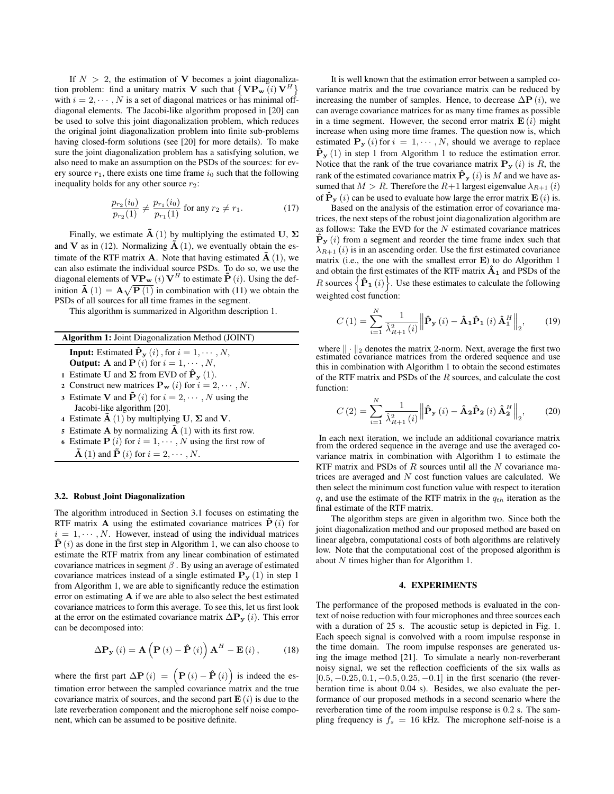If  $N > 2$ , the estimation of V becomes a joint diagonalization problem: find a unitary matrix V such that  $\{VP_w(i)V^H\}$ with  $i = 2, \dots, N$  is a set of diagonal matrices or has minimal offdiagonal elements. The Jacobi-like algorithm proposed in [\[20\]](#page-5-15) can be used to solve this joint diagonalization problem, which reduces the original joint diagonalization problem into finite sub-problems having closed-form solutions (see [\[20\]](#page-5-15) for more details). To make sure the joint diagonalization problem has a satisfying solution, we also need to make an assumption on the PSDs of the sources: for every source  $r_1$ , there exists one time frame  $i_0$  such that the following inequality holds for any other source  $r_2$ :

$$
\frac{p_{r_2}(i_0)}{p_{r_2}(1)} \neq \frac{p_{r_1}(i_0)}{p_{r_1}(1)} \text{ for any } r_2 \neq r_1.
$$
 (17)

Finally, we estimate  $\dot{A}$  (1) by multiplying the estimated U,  $\Sigma$ and **V** as in [\(12\)](#page-2-3). Normalizing  $\tilde{A}$  (1), we eventually obtain the estimate of the RTF matrix **A**. Note that having estimated  $\tilde{A}$  (1), we can also estimate the individual source PSDs. To do so, we use the diagonal elements of  $\mathbf{VP_w}\left(i\right) \mathbf{V}^H$  to estimate  $\mathbf{\tilde{P}}\left(i\right)$ . Using the definition  $\mathbf{\tilde{A}}(1) = \mathbf{A}\sqrt{\mathbf{P}(1)}$  in combination with [\(11\)](#page-2-4) we obtain the PSDs of all sources for all time frames in the segment.

This algorithm is summarized in Algorithm description 1.

Algorithm 1: Joint Diagonalization Method (JOINT)

- **Input:** Estimated  $\hat{\mathbf{P}}_{\mathbf{y}}(i)$ , for  $i = 1, \dots, N$ ,
- **Output:** A and  $P(i)$  for  $i = 1, \dots, N$ ,
- 1 Estimate U and  $\Sigma$  from EVD of  $\hat{P}_{y}(1)$ .
- 2 Construct new matrices  $\mathbf{P}_{\mathbf{w}}(i)$  for  $i = 2, \cdots, N$ .
- 3 Estimate V and  $\tilde{\mathbf{P}}(i)$  for  $i = 2, \dots, N$  using the Jacobi-like algorithm [\[20\]](#page-5-15).
- 4 Estimate  $\tilde{A}$  (1) by multiplying U,  $\Sigma$  and V.
- 5 Estimate **A** by normalizing  $\tilde{A}$  (1) with its first row.
- 6 Estimate  $P(i)$  for  $i = 1, \dots, N$  using the first row of
- $\tilde{\mathbf{A}}$  (1) and  $\tilde{\mathbf{P}}$  (*i*) for  $i = 2, \dots, N$ .

#### <span id="page-3-0"></span>3.2. Robust Joint Diagonalization

The algorithm introduced in [Section 3.1](#page-2-5) focuses on estimating the RTF matrix **A** using the estimated covariance matrices  $\dot{\mathbf{P}}(i)$  for  $i = 1, \dots, N$ . However, instead of using the individual matrices  $\hat{\mathbf{P}}(i)$  as done in the first step in Algorithm 1, we can also choose to estimate the RTF matrix from any linear combination of estimated covariance matrices in segment  $\beta$ . By using an average of estimated covariance matrices instead of a single estimated  $P_y(1)$  in step 1 from Algorithm 1, we are able to significantly reduce the estimation error on estimating  $A$  if we are able to also select the best estimated covariance matrices to form this average. To see this, let us first look at the error on the estimated covariance matrix  $\Delta P_y(i)$ . This error can be decomposed into:

$$
\Delta \mathbf{P}_{\mathbf{y}}\left(i\right) = \mathbf{A}\left(\mathbf{P}\left(i\right) - \hat{\mathbf{P}}\left(i\right)\right)\mathbf{A}^{H} - \mathbf{E}\left(i\right),\tag{18}
$$

where the first part  $\Delta \mathbf{P}(i) = (\mathbf{P}(i) - \mathbf{\hat{P}}(i))$  is indeed the estimation error between the sampled covariance matrix and the true covariance matrix of sources, and the second part  $E(i)$  is due to the late reverberation component and the microphone self noise component, which can be assumed to be positive definite.

It is well known that the estimation error between a sampled covariance matrix and the true covariance matrix can be reduced by increasing the number of samples. Hence, to decrease  $\Delta P(i)$ , we can average covariance matrices for as many time frames as possible in a time segment. However, the second error matrix  $\mathbf{E}(i)$  might increase when using more time frames. The question now is, which estimated  $P_y(i)$  for  $i = 1, \dots, N$ , should we average to replace  $\hat{\mathbf{P}}_{\mathbf{v}}(1)$  in step 1 from Algorithm 1 to reduce the estimation error. Notice that the rank of the true covariance matrix  $\mathbf{P}_{\mathbf{y}}(i)$  is R, the rank of the estimated covariance matrix  $\hat{\mathbf{P}}_{\mathbf{y}}(i)$  is M and we have assumed that  $M > R$ . Therefore the  $R+1$  largest eigenvalue  $\lambda_{R+1}$  (i) of  $\hat{\mathbf{P}}_{\mathbf{y}}(i)$  can be used to evaluate how large the error matrix  $\mathbf{E}(i)$  is.

Based on the analysis of the estimation error of covariance matrices, the next steps of the robust joint diagonalization algorithm are as follows: Take the EVD for the  $N$  estimated covariance matrices  $\hat{\mathbf{P}}_{\mathbf{v}}(i)$  from a segment and reorder the time frame index such that  $\lambda_{R+1}$  (i) is in an ascending order. Use the first estimated covariance matrix (i.e., the one with the smallest error E) to do Algorithm 1 and obtain the first estimates of the RTF matrix  $\mathbf{A}_1$  and PSDs of the R sources  $\{\hat{\mathbf{P}}_1(i)\}\)$ . Use these estimates to calculate the following weighted cost function:

<span id="page-3-1"></span>
$$
C(1) = \sum_{i=1}^{N} \frac{1}{\hat{\lambda}_{R+1}^{2}(i)} \left\| \hat{\mathbf{P}}_{\mathbf{y}}(i) - \hat{\mathbf{A}}_{1} \hat{\mathbf{P}}_{1}(i) \hat{\mathbf{A}}_{1}^{H} \right\|_{2}, \quad (19)
$$

where  $\|\cdot\|_2$  denotes the matrix 2-norm. Next, average the first two estimated covariance matrices from the ordered sequence and use this in combination with Algorithm 1 to obtain the second estimates of the RTF matrix and PSDs of the R sources, and calculate the cost function:

$$
C\left(2\right) = \sum_{i=1}^{N} \frac{1}{\hat{\lambda}_{R+1}^{2}\left(i\right)} \left\| \hat{\mathbf{P}}_{\mathbf{y}}\left(i\right) - \hat{\mathbf{A}}_{\mathbf{2}} \hat{\mathbf{P}}_{\mathbf{2}}\left(i\right) \hat{\mathbf{A}}_{\mathbf{2}}^{H} \right\|_{2},\tag{20}
$$

In each next iteration, we include an additional covariance matrix from the ordered sequence in the average and use the averaged covariance matrix in combination with Algorithm 1 to estimate the RTF matrix and PSDs of  $R$  sources until all the  $N$  covariance matrices are averaged and  $N$  cost function values are calculated. We then select the minimum cost function value with respect to iteration q, and use the estimate of the RTF matrix in the  $q_{th}$  iteration as the final estimate of the RTF matrix.

The algorithm steps are given in algorithm two. Since both the joint diagonalization method and our proposed method are based on linear algebra, computational costs of both algorithms are relatively low. Note that the computational cost of the proposed algorithm is about N times higher than for Algorithm 1.

# 4. EXPERIMENTS

The performance of the proposed methods is evaluated in the context of noise reduction with four microphones and three sources each with a duration of 25 s. The acoustic setup is depicted in [Fig. 1.](#page-4-0) Each speech signal is convolved with a room impulse response in the time domain. The room impulse responses are generated using the image method [\[21\]](#page-5-16). To simulate a nearly non-reverberant noisy signal, we set the reflection coefficients of the six walls as  $[0.5, -0.25, 0.1, -0.5, 0.25, -0.1]$  in the first scenario (the reverberation time is about 0.04 s). Besides, we also evaluate the performance of our proposed methods in a second scenario where the reverberation time of the room impulse response is 0.2 s. The sampling frequency is  $f_s = 16$  kHz. The microphone self-noise is a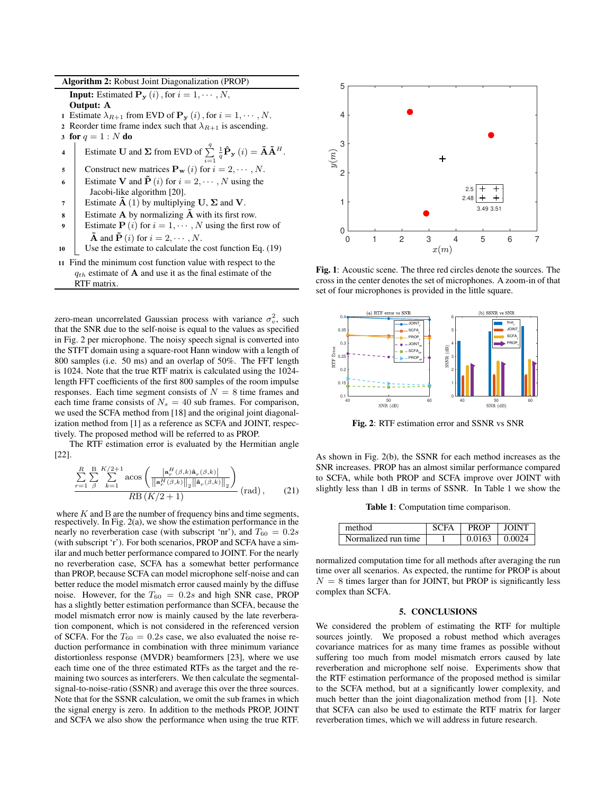Algorithm 2: Robust Joint Diagonalization (PROP) **Input:** Estimated  $P_y(i)$ , for  $i = 1, \dots, N$ , Output: A 1 Estimate  $\lambda_{R+1}$  from EVD of  $\mathbf{P}_{\mathbf{y}}(i)$ , for  $i = 1, \dots, N$ . 2 Reorder time frame index such that  $\lambda_{R+1}$  is ascending. 3 for  $q = 1 : N$  do 4 Estimate **U** and  $\Sigma$  from EVD of  $\sum_{i=1}^{q}$  $\frac{1}{q}\mathbf{\hat{P}_{y}}\left(i\right) = \mathbf{\tilde{A}}\mathbf{\tilde{A}}^{H}.$ 5 Construct new matrices  $\mathbf{P_w}(i)$  for  $i = 2, \dots, N$ . 6 Estimate V and  $\tilde{\mathbf{P}}(i)$  for  $i = 2, \dots, N$  using the Jacobi-like algorithm [\[20\]](#page-5-15). 7 Estimate  $\tilde{A}$  (1) by multiplying U,  $\Sigma$  and V. 8 Estimate A by normalizing  $\tilde{A}$  with its first row. 9 Estimate  $P(i)$  for  $i = 1, \dots, N$  using the first row of  $\tilde{\mathbf{A}}$  and  $\tilde{\mathbf{P}}$  (*i*) for  $i = 2, \cdots, N$ . <sup>10</sup> Use the estimate to calculate the cost function [Eq. \(19\)](#page-3-1) <sup>11</sup> Find the minimum cost function value with respect to the  $q_{th}$  estimate of **A** and use it as the final estimate of the

RTF matrix.

zero-mean uncorrelated Gaussian process with variance  $\sigma_v^2$ , such that the SNR due to the self-noise is equal to the values as specified in [Fig. 2](#page-4-1) per microphone. The noisy speech signal is converted into the STFT domain using a square-root Hann window with a length of 800 samples (i.e. 50 ms) and an overlap of 50%. The FFT length is 1024. Note that the true RTF matrix is calculated using the 1024 length FFT coefficients of the first 800 samples of the room impulse responses. Each time segment consists of  $N = 8$  time frames and each time frame consists of  $N_s = 40$  sub frames. For comparison, we used the SCFA method from [\[18\]](#page-5-12) and the original joint diagonalization method from [\[1\]](#page-5-0) as a reference as SCFA and JOINT, respectively. The proposed method will be referred to as PROP.

The RTF estimation error is evaluated by the Hermitian angle [\[22\]](#page-5-17).

$$
\frac{\sum_{r=1}^{R} \sum_{\beta}^{B} \sum_{k=1}^{K/2+1} a \cos \left( \frac{\left| \mathbf{a}_{r}^{H}(\beta, k) \mathbf{a}_{r}(\beta, k) \right|}{\left\| \mathbf{a}_{r}^{H}(\beta, k) \right\|_{2} \left\| \mathbf{a}_{r}(\beta, k) \right\|_{2}} \right)} R \mathbf{B} \left( K/2 + 1 \right) \qquad (21)
$$

where  $K$  and  $B$  are the number of frequency bins and time segments, respectively. In [Fig. 2\(](#page-4-1)a), we show the estimation performance in the nearly no reverberation case (with subscript 'nr'), and  $T_{60} = 0.2s$ (with subscript 'r'). For both scenarios, PROP and SCFA have a similar and much better performance compared to JOINT. For the nearly no reverberation case, SCFA has a somewhat better performance than PROP, because SCFA can model microphone self-noise and can better reduce the model mismatch error caused mainly by the diffuse noise. However, for the  $T_{60} = 0.2s$  and high SNR case, PROP has a slightly better estimation performance than SCFA, because the model mismatch error now is mainly caused by the late reverberation component, which is not considered in the referenced version of SCFA. For the  $T_{60} = 0.2s$  case, we also evaluated the noise reduction performance in combination with three minimum variance distortionless response (MVDR) beamformers [\[23\]](#page-5-18), where we use each time one of the three estimated RTFs as the target and the remaining two sources as interferers. We then calculate the segmentalsignal-to-noise-ratio (SSNR) and average this over the three sources. Note that for the SSNR calculation, we omit the sub frames in which the signal energy is zero. In addition to the methods PROP, JOINT and SCFA we also show the performance when using the true RTF.

<span id="page-4-0"></span>

Fig. 1: Acoustic scene. The three red circles denote the sources. The cross in the center denotes the set of microphones. A zoom-in of that set of four microphones is provided in the little square.

<span id="page-4-1"></span>

Fig. 2: RTF estimation error and SSNR vs SNR

As shown in [Fig. 2\(](#page-4-1)b), the SSNR for each method increases as the SNR increases. PROP has an almost similar performance compared to SCFA, while both PROP and SCFA improve over JOINT with slightly less than 1 dB in terms of SSNR. In [Table 1](#page-4-2) we show the

Table 1: Computation time comparison.

<span id="page-4-2"></span>

| method              | SCFA |                     | PROP LIOINT |
|---------------------|------|---------------------|-------------|
| Normalized run time |      | $0.0163 \pm 0.0024$ |             |

normalized computation time for all methods after averaging the run time over all scenarios. As expected, the runtime for PROP is about  $N = 8$  times larger than for JOINT, but PROP is significantly less complex than SCFA.

# 5. CONCLUSIONS

We considered the problem of estimating the RTF for multiple sources jointly. We proposed a robust method which averages covariance matrices for as many time frames as possible without suffering too much from model mismatch errors caused by late reverberation and microphone self noise. Experiments show that the RTF estimation performance of the proposed method is similar to the SCFA method, but at a significantly lower complexity, and much better than the joint diagonalization method from [\[1\]](#page-5-0). Note that SCFA can also be used to estimate the RTF matrix for larger reverberation times, which we will address in future research.